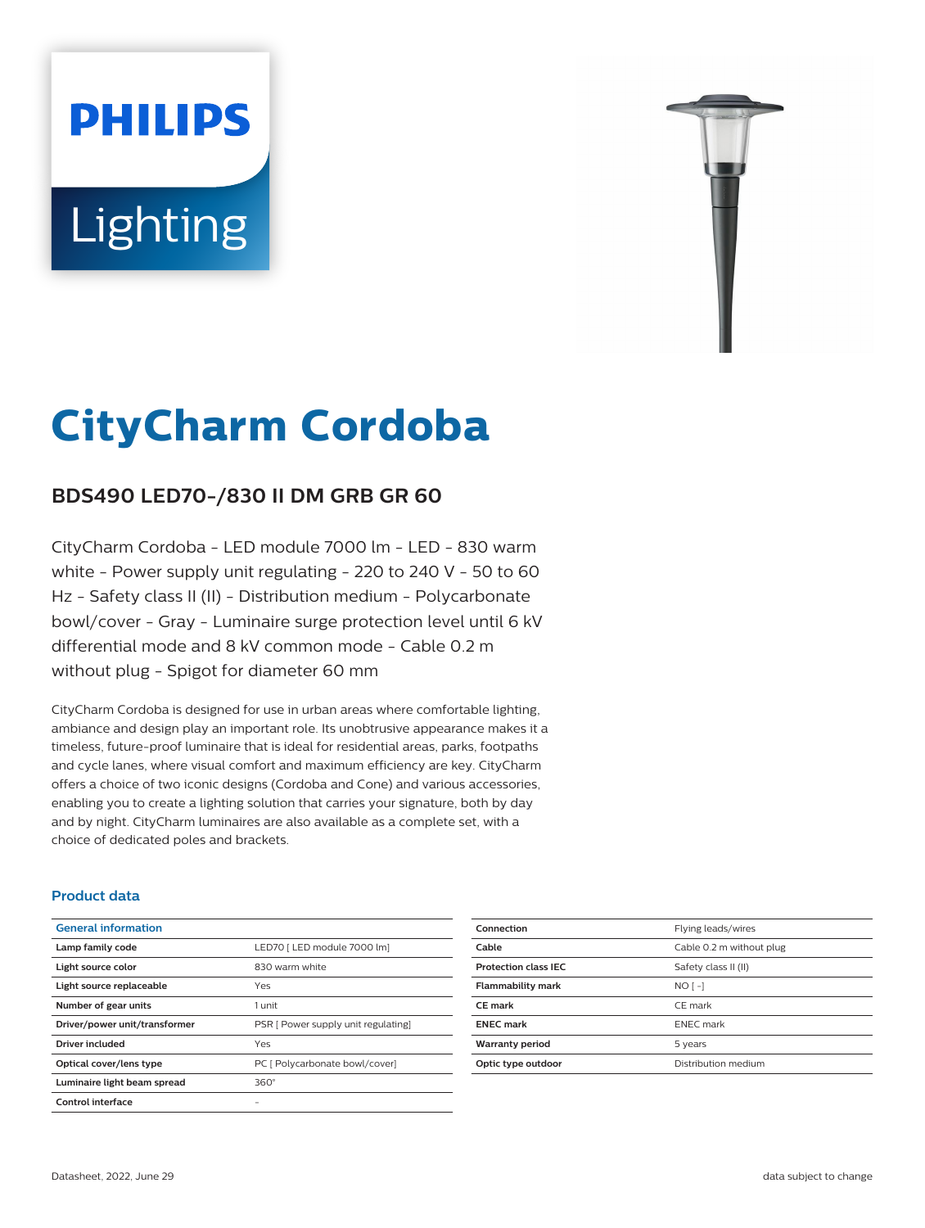# **PHILIPS Lighting**



# **CityCharm Cordoba**

# **BDS490 LED70-/830 II DM GRB GR 60**

CityCharm Cordoba - LED module 7000 lm - LED - 830 warm white - Power supply unit regulating - 220 to 240 V - 50 to 60 Hz - Safety class II (II) - Distribution medium - Polycarbonate bowl/cover - Gray - Luminaire surge protection level until 6 kV differential mode and 8 kV common mode - Cable 0.2 m without plug - Spigot for diameter 60 mm

CityCharm Cordoba is designed for use in urban areas where comfortable lighting, ambiance and design play an important role. Its unobtrusive appearance makes it a timeless, future-proof luminaire that is ideal for residential areas, parks, footpaths and cycle lanes, where visual comfort and maximum efficiency are key. CityCharm offers a choice of two iconic designs (Cordoba and Cone) and various accessories, enabling you to create a lighting solution that carries your signature, both by day and by night. CityCharm luminaires are also available as a complete set, with a choice of dedicated poles and brackets.

#### **Product data**

| <b>General information</b>    |                                     |
|-------------------------------|-------------------------------------|
| Lamp family code              | LED70   LED module 7000 lm]         |
| Light source color            | 830 warm white                      |
| Light source replaceable      | Yes                                 |
| Number of gear units          | 1 unit                              |
| Driver/power unit/transformer | PSR [ Power supply unit regulating] |
| Driver included               | Yes                                 |
| Optical cover/lens type       | PC [ Polycarbonate bowl/cover]      |
| Luminaire light beam spread   | $360^\circ$                         |
| Control interface             |                                     |

| Connection                  | Flying leads/wires       |
|-----------------------------|--------------------------|
| Cable                       | Cable 0.2 m without plug |
| <b>Protection class IEC</b> | Safety class II (II)     |
| <b>Flammability mark</b>    | $NO$ [ -]                |
| <b>CE</b> mark              | CE mark                  |
| <b>ENEC mark</b>            | <b>ENEC</b> mark         |
| <b>Warranty period</b>      | 5 years                  |
| Optic type outdoor          | Distribution medium      |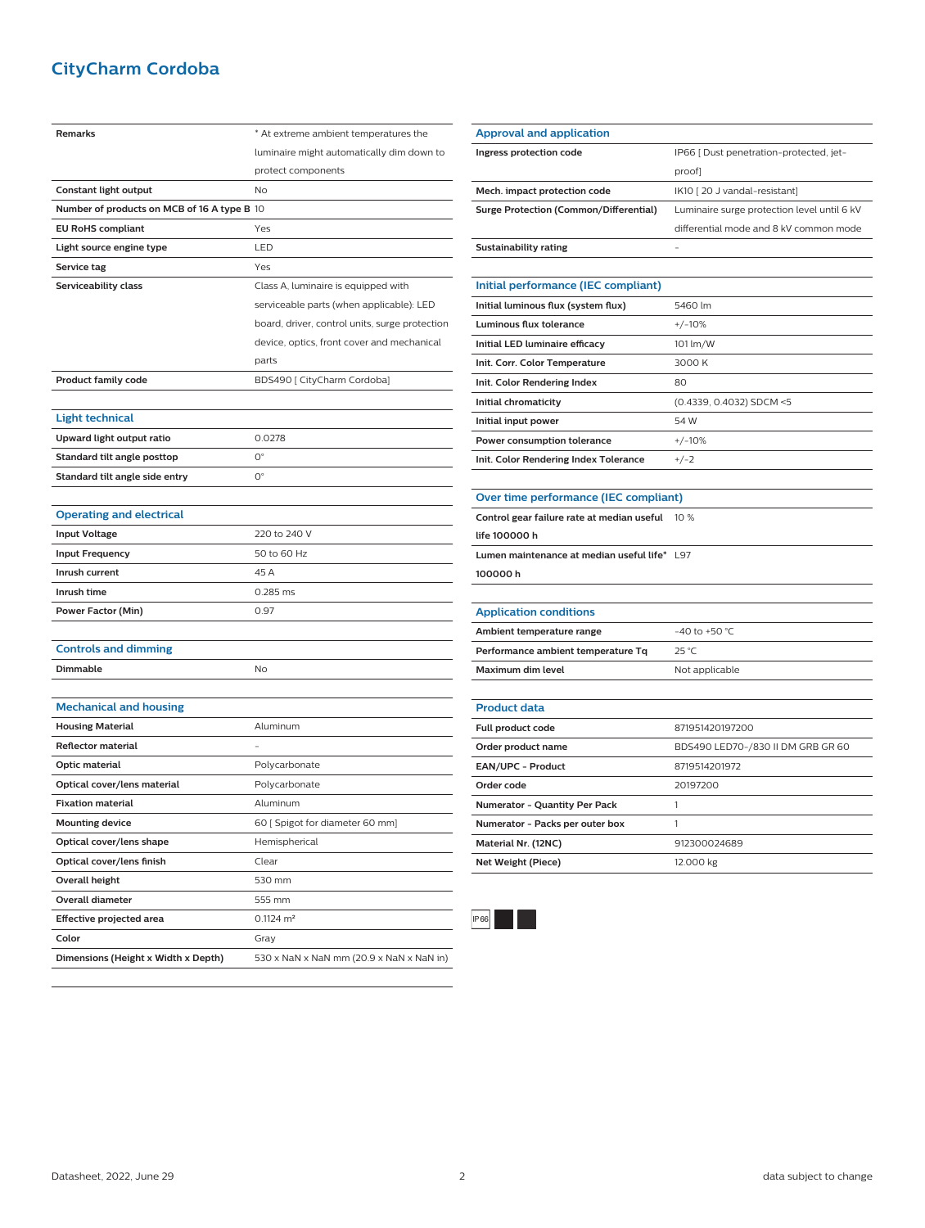## **CityCharm Cordoba**

| <b>Remarks</b>                              | * At extreme ambient temperatures the          |
|---------------------------------------------|------------------------------------------------|
|                                             | luminaire might automatically dim down to      |
|                                             | protect components                             |
| Constant light output                       | No                                             |
| Number of products on MCB of 16 A type B 10 |                                                |
| <b>EU RoHS compliant</b>                    | Yes                                            |
| Light source engine type                    | LED                                            |
| Service tag                                 | Yes                                            |
| Serviceability class                        | Class A, luminaire is equipped with            |
|                                             | serviceable parts (when applicable): LED       |
|                                             | board, driver, control units, surge protection |
|                                             | device, optics, front cover and mechanical     |
|                                             | parts                                          |
| <b>Product family code</b>                  | BDS490 [ CityCharm Cordoba]                    |
|                                             |                                                |
| <b>Light technical</b>                      |                                                |
| Upward light output ratio                   | 0.0278                                         |
| Standard tilt angle posttop                 | О°                                             |
| Standard tilt angle side entry              | О°                                             |
|                                             |                                                |
| <b>Operating and electrical</b>             |                                                |
| <b>Input Voltage</b>                        | 220 to 240 V                                   |
| <b>Input Frequency</b>                      | 50 to 60 Hz                                    |
| Inrush current                              | 45 A                                           |
| Inrush time                                 | 0.285 ms                                       |
| Power Factor (Min)                          | 0.97                                           |
|                                             |                                                |
| <b>Controls and dimming</b>                 |                                                |
| Dimmable                                    | No                                             |
|                                             |                                                |
| <b>Mechanical and housing</b>               |                                                |
| <b>Housing Material</b>                     | Aluminum                                       |
| <b>Reflector material</b>                   |                                                |
| Optic material                              | Polycarbonate                                  |
| Optical cover/lens material                 | Polycarbonate                                  |
| <b>Fixation material</b>                    | Aluminum                                       |
| <b>Mounting device</b>                      | 60 [ Spigot for diameter 60 mm]                |
| Optical cover/lens shape                    | Hemispherical                                  |
| Optical cover/lens finish                   | Clear                                          |
| Overall height                              | 530 mm                                         |
| Overall diameter                            | 555 mm                                         |
| <b>Effective projected area</b>             | $0.1124 \text{ m}^2$                           |
| Color                                       | Gray                                           |
| Dimensions (Height x Width x Depth)         | 530 x NaN x NaN mm (20.9 x NaN x NaN in)       |

| Ingress protection code                       | IP66 [ Dust penetration-protected, jet-     |
|-----------------------------------------------|---------------------------------------------|
|                                               | proof]                                      |
| Mech. impact protection code                  | IK10 [20 J vandal-resistant]                |
| <b>Surge Protection (Common/Differential)</b> | Luminaire surge protection level until 6 kV |
|                                               | differential mode and 8 kV common mode      |
| <b>Sustainability rating</b>                  |                                             |
|                                               |                                             |
| Initial performance (IEC compliant)           |                                             |
| Initial luminous flux (system flux)           | 5460 lm                                     |
| Luminous flux tolerance                       | $+/-10%$                                    |
| Initial LED luminaire efficacy                | 101 lm/W                                    |
| Init. Corr. Color Temperature                 | 3000 K                                      |
| Init. Color Rendering Index                   | 80                                          |
| Initial chromaticity                          | (0.4339, 0.4032) SDCM <5                    |
| Initial input power                           | 54 W                                        |
| Power consumption tolerance                   | $+/-10%$                                    |
| Init. Color Rendering Index Tolerance         | $+/-2$                                      |
|                                               |                                             |
| Over time performance (IEC compliant)         |                                             |
| Control gear failure rate at median useful    | 10 %                                        |
| life 100000 h                                 |                                             |
| Lumen maintenance at median useful life* L97  |                                             |
| 100000h                                       |                                             |
|                                               |                                             |
| <b>Application conditions</b>                 |                                             |
| Ambient temperature range                     | $-40$ to $+50$ °C                           |
| Performance ambient temperature Tq            | 25 °C                                       |
| <b>Maximum dim level</b>                      | Not applicable                              |
|                                               |                                             |
| <b>Product data</b>                           |                                             |
| Full product code                             | 871951420197200                             |
| Order product name                            | BDS490 LED70-/830 II DM GRB GR 60           |
| EAN/UPC - Product                             | 8719514201972                               |
| Order code                                    | 20197200                                    |
| Numerator - Quantity Per Pack                 | 1                                           |
| Numerator - Packs per outer box               | 1                                           |
| Material Nr. (12NC)                           | 912300024689                                |



**Net Weight (Piece)** 12.000 kg

**Approval and application**